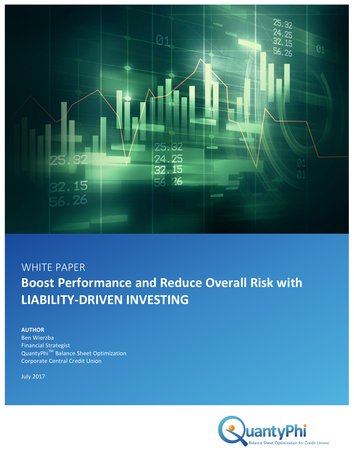

# WHITE PAPER **Boost Performance and Reduce Overall Risk with LIABILITY-DRIVEN INVESTING**

## **AUTHOR**

Ben Wierzba Financial Strategist QuantyPhi<sup>™</sup> Balance Sheet Optimization Corporate Central Credit Union

July 2017

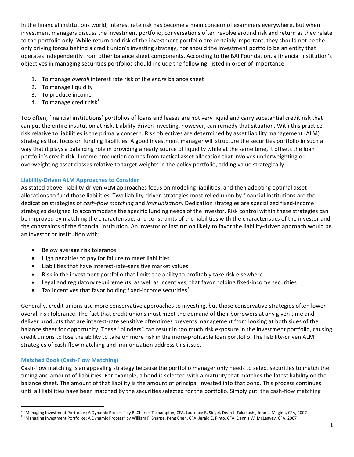In the financial institutions world, interest rate risk has become a main concern of examiners everywhere. But when investment managers discuss the investment portfolio, conversations often revolve around risk and return as they relate to the portfolio only. While return and risk of the investment portfolio are certainly important, they should not be the only driving forces behind a credit union's investing strategy, nor should the investment portfolio be an entity that operates independently from other balance sheet components. According to the BAI Foundation, a financial institution's objectives in managing securities portfolios should include the following, listed in order of importance:

- 1. To manage overall interest rate risk of the entire balance sheet
- 2. To manage liquidity
- 3. To produce income
- 4. To manage credit risk $1$

Too often, financial institutions' portfolios of loans and leases are not very liquid and carry substantial credit risk that can put the entire institution at risk. Liability-driven investing, however, can remedy that situation. With this practice, risk relative to liabilities is the primary concern. Risk objectives are determined by asset liability management (ALM) strategies that focus on funding liabilities. A good investment manager will structure the securities portfolio in such a way that it plays a balancing role in providing a ready source of liquidity while at the same time, it offsets the loan portfolio's credit risk. Income production comes from tactical asset allocation that involves underweighting or overweighting asset classes relative to target weights in the policy portfolio, adding value strategically.

### **Liability-Driven ALM Approaches to Consider**

As stated above, liability-driven ALM approaches focus on modeling liabilities, and then adopting optimal asset allocations to fund those liabilities. Two liability-driven strategies most relied upon by financial institutions are the dedication strategies of *cash-flow matching* and *immunization*. Dedication strategies are specialized fixed-income strategies designed to accommodate the specific funding needs of the investor. Risk control within these strategies can be improved by matching the characteristics and constraints of the liabilities with the characteristics of the investor and the constraints of the financial institution. An investor or institution likely to favor the liability-driven approach would be an investor or institution with:

- Below average risk tolerance
- High penalties to pay for failure to meet liabilities
- Liabilities that have interest-rate-sensitive market values
- Risk in the investment portfolio that limits the ability to profitably take risk elsewhere
- Legal and regulatory requirements, as well as incentives, that favor holding fixed-income securities
- Tax incentives that favor holding fixed-income securities<sup>2</sup>

Generally, credit unions use more conservative approaches to investing, but those conservative strategies often lower overall risk tolerance. The fact that credit unions must meet the demand of their borrowers at any given time and deliver products that are interest-rate sensitive oftentimes prevents management from looking at both sides of the balance sheet for opportunity. These "blinders" can result in too much risk exposure in the investment portfolio, causing credit unions to lose the ability to take on more risk in the more-profitable loan portfolio. The liability-driven ALM strategies of cash-flow matching and immunization address this issue.

### **Matched Book (Cash-Flow Matching)**

<u> 1989 - Johann Barn, mars ann an t-Amhain an t-Amhain an t-Amhain an t-Amhain an t-Amhain an t-Amhain an t-Amh</u>

Cash-flow matching is an appealing strategy because the portfolio manager only needs to select securities to match the timing and amount of liabilities. For example, a bond is selected with a maturity that matches the latest liability on the balance sheet. The amount of that liability is the amount of principal invested into that bond. This process continues until all liabilities have been matched by the securities selected for the portfolio. Simply put, the cash-flow matching

<sup>&</sup>lt;sup>1</sup> "Managing Investment Portfolios: A Dynamic Process" by R. Charles Tschampion, CFA, Laurence B. Siegel, Dean J. Takahashi, John L. Maginn, CFA, 2007

 $2$  "Managing Investment Portfolios: A Dynamic Process" by William F. Sharpe, Peng Chen, CFA, Jerald E. Pinto, CFA, Dennis W. McLeavey, CFA, 2007